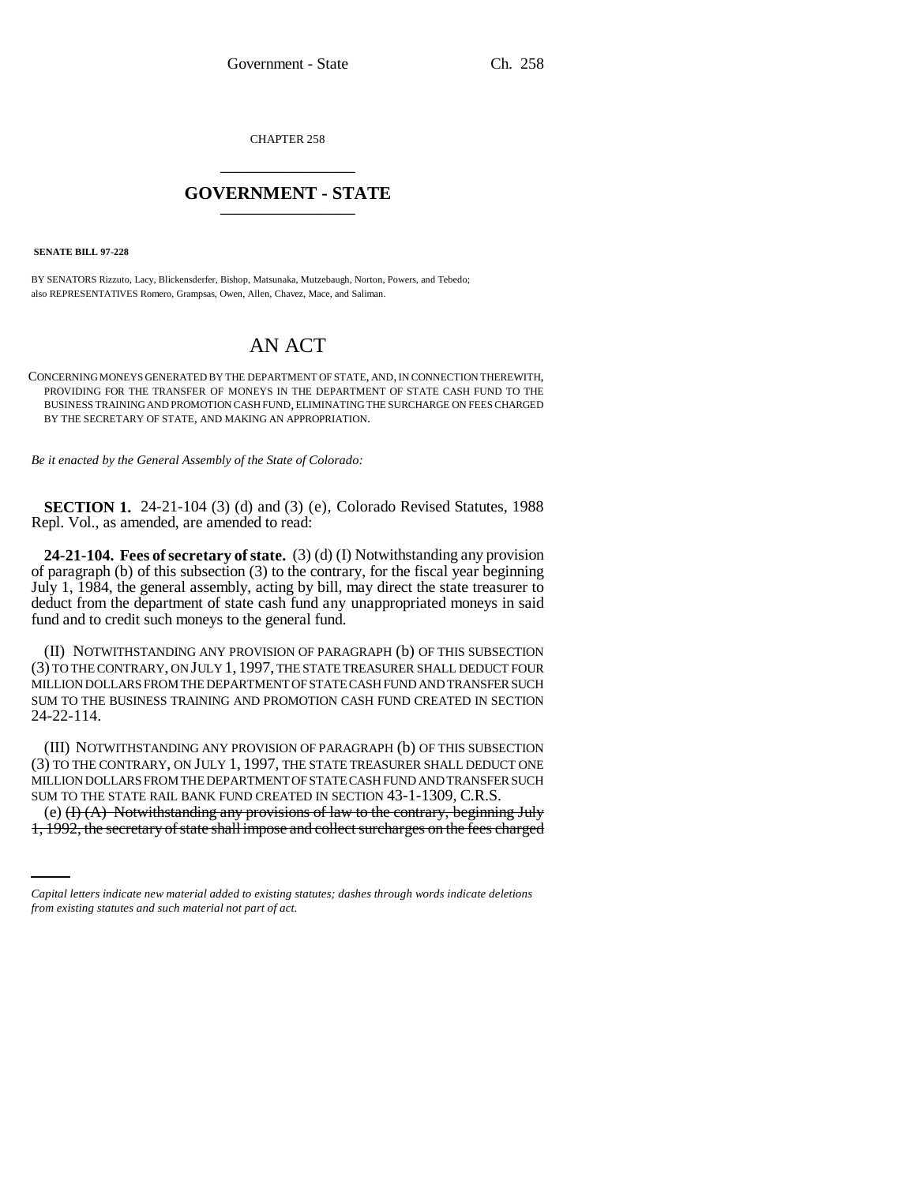CHAPTER 258 \_\_\_\_\_\_\_\_\_\_\_\_\_\_\_

## **GOVERNMENT - STATE** \_\_\_\_\_\_\_\_\_\_\_\_\_\_\_

 **SENATE BILL 97-228**

BY SENATORS Rizzuto, Lacy, Blickensderfer, Bishop, Matsunaka, Mutzebaugh, Norton, Powers, and Tebedo; also REPRESENTATIVES Romero, Grampsas, Owen, Allen, Chavez, Mace, and Saliman.

## AN ACT

CONCERNING MONEYS GENERATED BY THE DEPARTMENT OF STATE, AND, IN CONNECTION THEREWITH, PROVIDING FOR THE TRANSFER OF MONEYS IN THE DEPARTMENT OF STATE CASH FUND TO THE BUSINESS TRAINING AND PROMOTION CASH FUND, ELIMINATING THE SURCHARGE ON FEES CHARGED BY THE SECRETARY OF STATE, AND MAKING AN APPROPRIATION.

*Be it enacted by the General Assembly of the State of Colorado:*

**SECTION 1.** 24-21-104 (3) (d) and (3) (e), Colorado Revised Statutes, 1988 Repl. Vol., as amended, are amended to read:

**24-21-104. Fees of secretary of state.** (3) (d) (I) Notwithstanding any provision of paragraph (b) of this subsection  $(3)$  to the contrary, for the fiscal year beginning July 1, 1984, the general assembly, acting by bill, may direct the state treasurer to deduct from the department of state cash fund any unappropriated moneys in said fund and to credit such moneys to the general fund.

(II) NOTWITHSTANDING ANY PROVISION OF PARAGRAPH (b) OF THIS SUBSECTION (3) TO THE CONTRARY, ON JULY 1, 1997, THE STATE TREASURER SHALL DEDUCT FOUR MILLION DOLLARS FROM THE DEPARTMENT OF STATE CASH FUND AND TRANSFER SUCH SUM TO THE BUSINESS TRAINING AND PROMOTION CASH FUND CREATED IN SECTION 24-22-114.

SUM TO THE STATE RAIL BANK FUND CREATED IN SECTION 43-1-1309, C.R.S. (III) NOTWITHSTANDING ANY PROVISION OF PARAGRAPH (b) OF THIS SUBSECTION (3) TO THE CONTRARY, ON JULY 1, 1997, THE STATE TREASURER SHALL DEDUCT ONE MILLION DOLLARS FROM THE DEPARTMENT OF STATE CASH FUND AND TRANSFER SUCH

(e) (I) (A) Notwithstanding any provisions of law to the contrary, beginning July 1, 1992, the secretary of state shall impose and collect surcharges on the fees charged

*Capital letters indicate new material added to existing statutes; dashes through words indicate deletions from existing statutes and such material not part of act.*